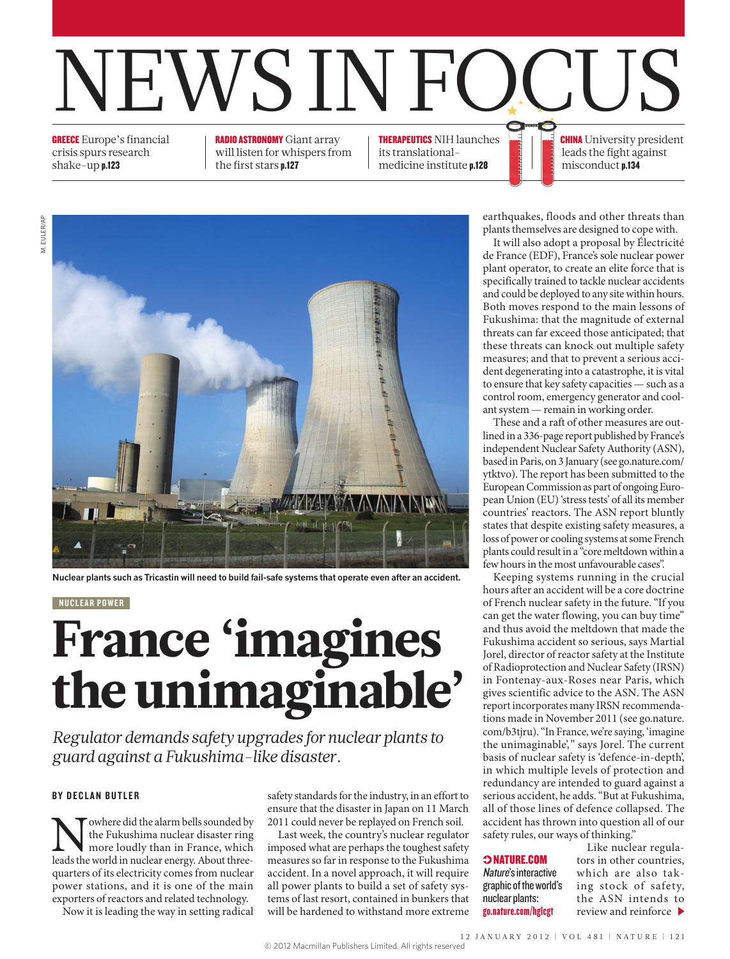



**Nuclear plants such as Tricastin will need to build fail-safe systems that operate even after an accident.**

## NUCLEAR POWER

## France 'imagines the unimaginable'

*Regulator demands safety upgrades for nuclear plants to guard against a Fukushima-like disaster.*

## BY DECLAN BUTLER

Nowhere did the alarm bells sounded by the Fukushima nuclear disaster ring more loudly than in France, which leads the world in nuclear energy. About threethe Fukushima nuclear disaster ring more loudly than in France, which quarters of its electricity comes from nuclear power stations, and it is one of the main exporters of reactors and related technology.

Now it is leading the way in setting radical

safety standards for the industry, in an effort to ensure that the disaster in Japan on 11 March 2011 could never be replayed on French soil.

Last week, the country's nuclear regulator imposed what are perhaps the toughest safety measures so far in response to the Fukushima accident. In a novel approach, it will require all power plants to build a set of safety systems of last resort, contained in bunkers that will be hardened to withstand more extreme

earthquakes, floods and other threats than plants themselves are designed to cope with.

It will also adopt a proposal by Électricité de France (EDF), France's sole nuclear power plant operator, to create an elite force that is specifically trained to tackle nuclear accidents and could be deployed to any site within hours. Both moves respond to the main lessons of Fukushima: that the magnitude of external threats can far exceed those anticipated; that these threats can knock out multiple safety measures; and that to prevent a serious accident degenerating into a catastrophe, it is vital to ensure that key safety capacities — such as a control room, emergency generator and coolant system — remain in working order.

These and a raft of other measures are outlined in a 336-page report published by France's independent Nuclear Safety Authority (ASN), based in Paris, on 3 January (see go.nature.com/ ytktvo). The report has been submitted to the European Commission as part of ongoing European Union (EU) 'stress tests' of all its member countries' reactors. The ASN report bluntly states that despite existing safety measures, a loss of power or cooling systems at some French plants could result in a "core meltdown within a few hours in the most unfavourable cases".

Keeping systems running in the crucial hours after an accident will be a core doctrine of French nuclear safety in the future. "If you can get the water flowing, you can buy time" and thus avoid the meltdown that made the Fukushima accident so serious, says Martial Jorel, director of reactor safety at the Institute of Radioprotection and Nuclear Safety (IRSN) in Fontenay-aux-Roses near Paris, which gives scientific advice to the ASN. The ASN report incorporates many IRSN recommendations made in November 2011 (see go.nature. com/b3tjru). "In France, we're saying, 'imagine the unimaginable'," says Jorel. The current basis of nuclear safety is 'defence-in-depth', in which multiple levels of protection and redundancy are intended to guard against a serious accident, he adds. "But at Fukushima, all of those lines of defence collapsed. The accident has thrown into question all of our safety rules, our ways of thinking."

## NATURE.COM Nature's interactive graphic of the world's

nuclear plants: go.nature.com/hglcgt

Like nuclear regulators in other countries, which are also taking stock of safety, the ASN intends to review and reinforce